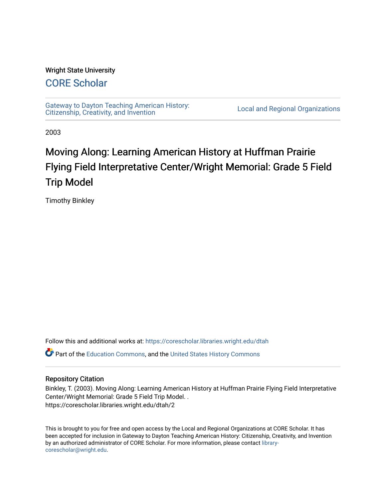## Wright State University

## [CORE Scholar](https://corescholar.libraries.wright.edu/)

[Gateway to Dayton Teaching American History:](https://corescholar.libraries.wright.edu/dtah)  Gateway to Dayton Teaching American History.<br>Citizenship, Creativity, and Invention

2003

# Moving Along: Learning American History at Huffman Prairie Flying Field Interpretative Center/Wright Memorial: Grade 5 Field Trip Model

Timothy Binkley

Follow this and additional works at: [https://corescholar.libraries.wright.edu/dtah](https://corescholar.libraries.wright.edu/dtah?utm_source=corescholar.libraries.wright.edu%2Fdtah%2F2&utm_medium=PDF&utm_campaign=PDFCoverPages)

Part of the [Education Commons](http://network.bepress.com/hgg/discipline/784?utm_source=corescholar.libraries.wright.edu%2Fdtah%2F2&utm_medium=PDF&utm_campaign=PDFCoverPages), and the [United States History Commons](http://network.bepress.com/hgg/discipline/495?utm_source=corescholar.libraries.wright.edu%2Fdtah%2F2&utm_medium=PDF&utm_campaign=PDFCoverPages) 

#### Repository Citation

Binkley, T. (2003). Moving Along: Learning American History at Huffman Prairie Flying Field Interpretative Center/Wright Memorial: Grade 5 Field Trip Model. . https://corescholar.libraries.wright.edu/dtah/2

This is brought to you for free and open access by the Local and Regional Organizations at CORE Scholar. It has been accepted for inclusion in Gateway to Dayton Teaching American History: Citizenship, Creativity, and Invention by an authorized administrator of CORE Scholar. For more information, please contact [library](mailto:library-corescholar@wright.edu)[corescholar@wright.edu](mailto:library-corescholar@wright.edu).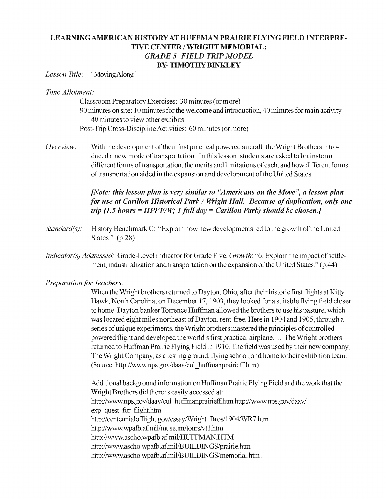## LEARNING AMERICAN HISTORY AT HUFFMAN PRAIRIE FLYING FIELD INTERPRE TIVE CENTER/WRIGHT MEMORIAL: *GRADE* 5 *FIELD TRIP MODEL* BY- TIMOTHY BINKLEY

### Lesson Title: "Moving Along"

#### *llme Allotment:*

Classroom Preparatory Exercises: 30 minutes (or more) 90 minutes on site: 10 minutes for the welcome and introduction, 40 minutes for main activity+ 40 minutes to view other exhibits Post-Trip Cross-Discipline Activities: 60 minutes (or more)

*Overview:* With the development of their first practical powered aircraft, the Wright Brothers introduced a new mode of transportation. In this lesson, students are asked to brainstorm different forms of transportation, the merits and limitations of each, and how different forms of transportation aided in the expansion and development of the United States.

## *[Note: this lesson plan is very similar to "Americans on the Move", a lesson plan for use at Carillon Historical Park / Wright Hall. Because of duplication, only one trip* (1. 5 *hours* = *HPFFIW;* 1 *full day* = *Carillon Park) should be chosen.]*

- *Standard(s):* History Benchmark C: "Explain how new developments led to the growth of the United States." (p.28)
- *Indicator(s) Addressed:* Grade-Level indicator for Grade Five, *Growth:* "6. Explain the impact of settlement, industrialization and transportation on the expansion ofthe United States." (p.44)

#### **Preparation for Teachers:**

When the Wright brothers returned to Dayton, Ohio, after their historic first flights at Kitty Hawk, North Carolina, on December 17, 1903, they looked for a suitable flying field closer to home. Dayton banker Torrence Huffman allowed the brothers to use his pasture, which was located eight miles northeast of Dayton, rent-free. Here in 1904 and 1905, through a series of unique experiments, the Wright brothers mastered the principles of controlled powered flight and developed the world's first practical airplane .... The Wright brothers returned to Huffman Prairie Flying Field in 1910. The field was used by their new company, The Wright Company, as a testing ground, flying school, and home to their exhibition team. (Sourcc: http://wwvv.nps.gov/daav/cul\_huffmanprairicff.htm)

Additional background information on Huffman Prairie Flying Field and the work that the Wright Brothers did there is easily accessed at: http://www.nps.gov/daav/cul\_ huffmanprairieff.htm http://www.nps.gov/daav/ exp\_quest\_for\_flight.htm http://centennialoftlight.gov/essay/wright\_BroS/19041WR7.htm http://www.wpafb.af.mil/museum/tours/vt1.htm http://www.ascho.wpafb.afmil/HUFFMAN.HTM http://www.ascho.wpafb.af.mil/BUILDINGS/prairie.htm http://www.ascho.wpafb.af.mil/BUILDINGS/memorial.htm .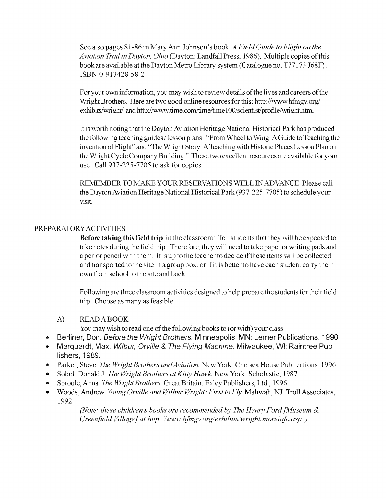See also pages 81-86 in Mary Ann Johnson's book: *A Field Guide to Flight on the Aviation Trail in Dayton, Ohio* (Dayton: Landfall Press, 1986). Multiple copies ofthis book are available at the Dayton Metro Library system (Catalogue no. T77173 J68F) . ISBN 0-913428-58-2

For your own information, you may wish to review details of the lives and careers of the Wright Brothers. Here are two good online resources for this: http://www.hfmgv.org/ exhibits/wright/ and http://www.time.com/time/time 100/scientist/profile/wright.html .

Itis worth noting that the Dayton Aviation Heritage National Historical Park has produced the following teaching guides / lesson plans: "From Wheel to Wing: A Guide to Teaching the invention ofFlight" and "The Wright Story: A Teaching with Historic Places Lesson Plan on the Wright Cycle Company Building." These two excellent resources are available for your use. Call 937-225-7705 to ask for copies.

REMEMBER TO MAKE YOUR RESERVATIONS WELL INADVANCE. Please call the DaytonAviation Heritage National Historical Park (937-225-7705) to schedule your visit.

#### PREPARATORY ACTIVITIES

Before taking this field trip, in the classroom: Tell students that they will be expected to take notes during the field trip. Therefore, they will need to take paper or writing pads and a pen or pencil with them. Itis up to the teacher to decide ifthese items will be collected and transported to the site in a group box, orifitis better to have each student carry their own from school to the site and back.

Following are three classroom activities designed to help prepare the students for their field trip. Choose as many as feasible.

#### A) READABOOK

You may wish to read one of the following books to (or with) your class:

- Berliner, Don. Before the Wright Brothers. Minneapolis, MN: Lerner Publications, 1990
- Marquardt, Max. Wilbur, Orville & The Flying Machine. Milwaukee, WI: Raintree Publishers, 1989.
- Parker, Steve. *The Wright Brothers and Aviation*. New York: Chelsea House Publications, 1996.
- Sobol, Donald J. *The Wright Brothers at Kitty Hawk.* New York: Scholastic, 1987.
- Sproule, Anna. *The Wright Brothers.* Great Britain: Exley Publishers, Ltd., 1996.
- Woods, Andrew. *Young Orville and Wilbur Wright: First to Fly.* Mahwah, NJ: Troll Associates, 1992.

*(Note: these children* s *books are recommended by The Henry Ford fMuseum* & *Greenfield Village] at http://www.hfmgv.org/exhibits/wright/moreinfo.asp.)*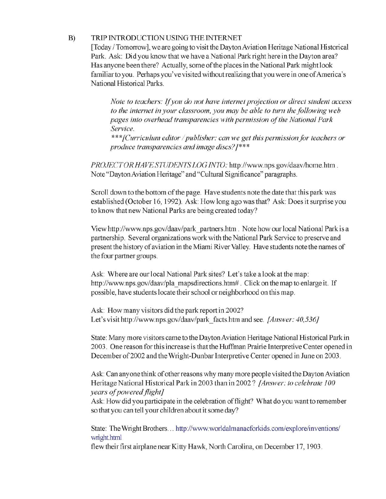#### B) TRIP INTRODUCTION USING THE INTERNET

[Today / Tomorrow], we are going to visit the Dayton Aviation Heritage National Historical Park. Ask: Did you know that we have a National Park right here in the Dayton area? Has anyone been there? Actually, some of the places in the National Park might look familiar to you. Perhaps you've visited without realizing that you were in one of America's National Historical Parks.

*Note to teachers:* If*you do not have internet projection or direct student access*  to the internet in your classroom, you may be able to turn the following web *pages into overhead transparencies with permission ofthe National Park Service.* 

\* \* \* *[Curriculum editor* / *publisher: can we get this permission for teachers or produce transparencies and image discs?}* \* \* \*

*PROJECT OR HAVE STUDENTS LOGINTO:* http://www.nps.gov/daav/home.htm . Note "Dayton Aviation Heritage" and "Cultural Significance" paragraphs.

Scroll down to the bottom of the page. Have students note the date that this park was established (October 16, 1992). Ask: How long ago was that? Ask: Does it surprise you to know that new National Parks are being created today?

View http://www.nps.gov/daav/park\_partners.htm . Note how our local National Park is a partnership. Several organizations work with the National Park Service to preserve and present the history of aviation in the Miami River Valley. Have students note the names of the four partner groups.

Ask: Where are our local National Park sites? Let's take a look at the map: http://www.nps.gov/daav/pla\_mapsdirections.htm#. Click on the map to enlarge it. If possible, have students locate their school or neighborhood on this map.

Ask: How many visitors did the park report in 2002? Let's visit http://www.nps.gov/daav/park\_facts.htm and see. *[Answer: 40,536]* 

State: Many more visitors came to the Dayton Aviation Heritage National Historical Park in 2003. One reason for this increase is that the Huffman Prairie Interpretive Center opened in December of 2002 and the Wright-Dunbar Interpretive Center opened in June on 2003.

Ask: Can anyone think of other reasons why many more people visited the Dayton Aviation Heritage National Historical Park in 2003 than in 2002? *[Answer: to celebrate 100 years ofpoweredflight}* 

Ask: How did you participate in the celebration of flight? What do you want to remember so that you can tell your children about it some day?

State: The Wright Brothers... http://www.worldalmanacforkids.com/explore/inventions/ wright.html

flew their first airplane near Kitty Hawk, North Carolina, on December 17, 1903.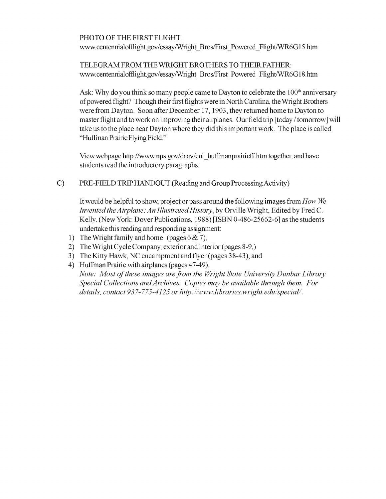## PHOTO OF THE FIRST FLIGHT:

www.centennialofflight.gov/essay/Wright\_Bros/First\_Powered\_Flight/WR6G15.htm

## TELEGRAM FROM THE WRIGHT BROTHERS TO THEIR FATHER: www.centennialofflight.gov/essay/Wright\_Bros/First\_Powered\_Flight/WR6G18.htm

Ask: Why do you think so many people came to Dayton to celebrate the  $100<sup>th</sup>$  anniversary of powered flight? Though their first flights were in North Carolina, the Wright Brothers were from Dayton. Soon after December 17, 1903, they returned home to Dayton to master flight and to work on improving their airplanes. Our field trip [today / tomorrow] will take us to the place near Dayton where they did this important work. The place is called "Hufiman Prairie Flying Field."

View webpage http://www.nps.gov/daav/cul\_ huffmanprairieff.htm together, and have students read the introductory paragraphs.

C) PRE-FIELD TRIP HANDOUT (Reading and Group Processing Activity)

It would be helpful to show, project or pass around the following images from *How We Invented the Airplane: An Illustrated History, by Orville Wright, Edited by Fred C.* Kelly. (New York: Dover Publications, 1988) [ISBN 0-486-25662-6] as the students undertake this reading and responding assignment:

- 1) The Wright family and home (pages  $6 & 7$ ),
- 2) The Wright Cycle Company, exterior and interior (pages 8-9,)
- 3) The Kitty Hawk, NC encampment and flyer (pages 38-43), and
- 4) Huffman Prairie with airplanes (pages 47-49).

*Note: Most qfthese images are from the Wright State University Dunbar Library 5pecial Collections andArchives. Copies may be available through them. For details, contact 937-775-4125 or http://www.libraries.wright.edu/special/.*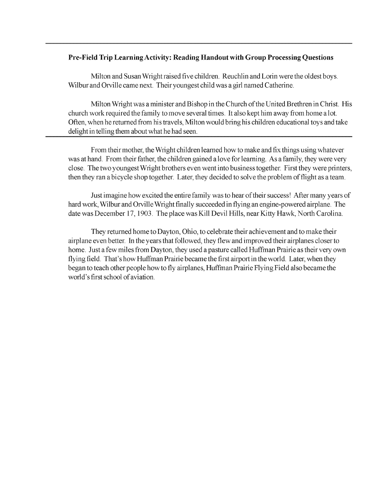#### Pre-Field Trip Learning Activity: Reading Handout with Group Processing Questions

Milton and Susan Wright raised five children. Reuchlin and Lorin were the oldest boys. Wilbur and Orville came next. Their youngest child was a girl named Catherine.

Milton Wright was a minister and Bishop in the Church of the United Brethren in Christ. His church work required the family to move several times. It also kept him away from home a lot. Often, when he returned from his travels, Milton would bring his children educational toys and take delight in telling them about what he had seen.

From their mother, the Wright children learned how to make and fix things using whatever was at hand. From their father, the children gained a love for learning. As a family, they were very close. The two youngest Wright brothers even went into business together. First they were printers, then they ran a bicycle shop together. Later, they decided to solve the problem of flight as a team.

Just imagine how excited the entire family was to hear of their success! After many years of hard work, Wilbur and Orville Wright finally succeeded in flying an engine-powered airplane. The date was December 17, 1903. The place was Kill Devil Hills, near Kitty Hawk, North Carolina.

They returned home to Dayton, Ohio, to celebrate their achievement and to make their airplane even better. In the years that followed, they flew and improved their airplanes closer to home. Just a few miles from Dayton, they used a pasture called Huffman Prairie as their very own flying field. That's how Huffman Prairie became the first airport in the world. Later, when they began to teach other people how to fly airplanes, Huffman Prairie Flying Field also became the world's first school of aviation.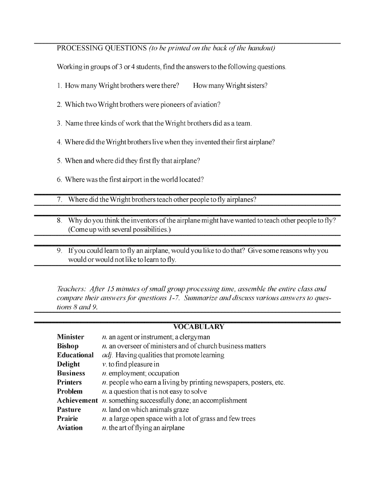## PROCESSING QUESTIONS *(to be printed on the back of the handout)*

Working in groups of 3 or 4 students, find the answers to the following questions.

- 1. How many Wright brothers were there? How many Wright sisters?
- 2. Which two Wright brothers were pioneers of aviation?
- 3. Name three kinds of work that the Wright brothers did as a team.
- 4. Where did the Wright brothers live when they invented their first airplane?
- 5. When and where did they first fly that airplane?
- 6. Where was the first airport in the world located?
- 7. Where did the Wright brothers teach other people to fly airplanes?
- 8. Why do you think the inventors of the airplane might have wanted to teach other people to fly? (Come up with several possibilities.)
- 9. Ifyou could learn to fly an airplane, would you like to do that? Give some reasons why you would orwould not like to learn to fly.

*Teachers: After 15 minutes of small group processing time, assemble the entire class and* compare their answers for questions 1-7. Summarize and discuss various answers to ques*tions* 8 *and 9.* 

## VOCABULARY

| <b>Minister</b>    | $n$ an agent or instrument; a clergyman                               |
|--------------------|-----------------------------------------------------------------------|
| <b>Bishop</b>      | $n$ an overseer of ministers and of church business matters           |
| <b>Educational</b> | <i>adj.</i> Having qualities that promote learning                    |
| <b>Delight</b>     | $\nu$ . to find pleasure in                                           |
| <b>Business</b>    | $n$ employment; occupation                                            |
| <b>Printers</b>    | $n$ people who earn a living by printing newspapers, posters, etc.    |
| <b>Problem</b>     | $n$ a question that is not easy to solve                              |
|                    | <b>Achievement</b> $n$ something successfully done; an accomplishment |
| <b>Pasture</b>     | $n$ land on which animals graze                                       |
| <b>Prairie</b>     | $n$ a large open space with a lot of grass and few trees              |
| <b>Aviation</b>    | $n$ , the art of flying an airplane                                   |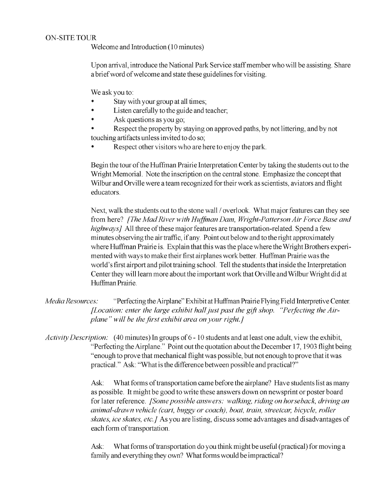#### ON-SITE TOUR

Welcome and Introduction (10 minutes)

Upon arrival, introduce the National Park Service staff member who will be assisting. Share a brief word of welcome and state these guidelines for visiting.

We ask you to:

- Stay with your group at all times;
- Listen carefully to the guide and teacher;
- Ask questions as you go;
- Respect the property by staying on approved paths, by not littering, and by not touching artifacts unless invited to do so;
- Respect other visitors who are here to enjoy the park.

Begin the tour of the Huffman Prairie Interpretation Center by taking the students out to the Wright Memorial. Note the inscription on the central stone. Emphasize the concept that Wilbur and Orville were a team recognized for their work as scientists, aviators and flight educators.

Next, walk the students out to the stone wall / overlook. What major features can they see from here? *[The Mad River with Huffman Dam, Wright-Patterson Air Force Base and highways* / All three of these major features are transportation-related. Spend a few minutes observing the air traffic, if any. Point out below and to the right approximately where Huffman Prairie is. Explain that this was the place where the Wright Brothers experimented with ways to make their first airplanes work better. Huffman Prairie was the world's first airport and pilot training school. Tell the students that inside the Interpretation Center they willleam more about the important work that Orville and Wilbur Wright did at Huffman Prairie.

*Media Resources:* "Perfecting the Airplane" Exhibit at Huffman Prairie Flying Field Interpretive Center. *fLocation: enter the large exhibit hall just past the gift shop. "Perfecting the Airplane" will be the first exhibit area on your right.]* 

*Activity Description:* (40 minutes) In groups of 6 - 10 students and at least one adult, view the exhibit, "Perfecting the Airplane." Point out the quotation about the December 17, 1903 flight being "enough to prove that mechanical flight was possible, but not enough to prove that it was practical." Ask: "What is the difference between possible and practical?"

> Ask: What forms of transportation came before the airplane? Have students list as many as possible. It might be good to write these answers down on newsprint or poster board for later reference. *[Some possible answers: walking, riding on horseback, driving an animal-drawn vehicle (cart, buggy or coach), boat, train, streetcar, bicycle, roller skates, ice skates, etc.}* As you are listing, discuss some advantages and disadvantages of each form of transportation.

Ask: What forms of transportation do you think might be useful (practical) for moving a family and everything they own? What forms would be impractical?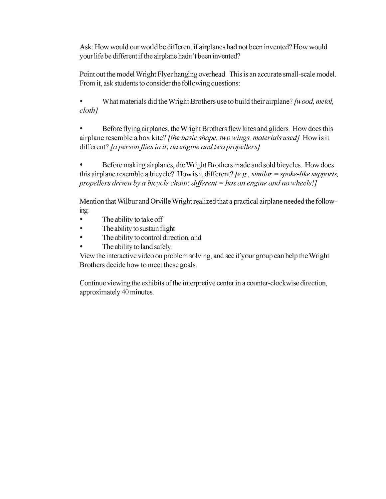Ask: How would our world be different if airplanes had not been invented? How would your life be different if the airplane hadn't been invented?

Point out the model Wright Flyer hanging overhead. This is an accurate small-scale model. From it, ask students to consider the following questions:

• What materials did the Wright Brothers use to build their airplane? *[wood, metal, cloth}* 

• Before flying airplanes, the Wright Brothers flew kites and gliders. How does this airplane resemble a box kite? *[the basic shape, two wings, materials used}* How is it different? *[a person flies in it; an engine and two propellers]* 

• Before making airplanes, the Wright Brothers made and sold bicycles. How does this airplane resemble a bicycle? How is it different? *fe.g., similar* = *spoke-like supports, propellers driven by a bicycle chain; different = has an engine and no wheels!]* 

Mention that Wilbur and Orville Wright realized that a practical airplane needed the followmg:

- The ability to take off
- The ability to sustain flight
- The ability to control direction, and
- The ability to land safely.

View the interactive video on problem solving, and see ifyour group can help the Wright Brothers decide how to meet these goals.

Continue viewing the exhibits of the interpretive center in a counter-clockwise direction, approximately 40 minutes.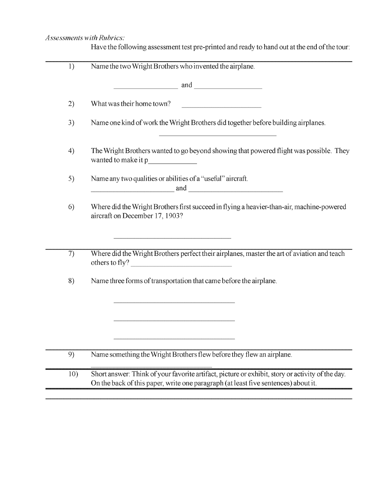## *Assessments with Rubrics:*

Have the following assessment test pre-printed and ready to hand out at the end of the tour:

| 1)  | Name the two Wright Brothers who invented the airplane.                                                                                                                                |  |  |  |  |  |
|-----|----------------------------------------------------------------------------------------------------------------------------------------------------------------------------------------|--|--|--|--|--|
|     |                                                                                                                                                                                        |  |  |  |  |  |
| 2)  | What was their home town?                                                                                                                                                              |  |  |  |  |  |
| 3)  | Name one kind of work the Wright Brothers did together before building airplanes.<br>the control of the control of the control of the control of the control of                        |  |  |  |  |  |
| 4)  | The Wright Brothers wanted to go beyond showing that powered flight was possible. They                                                                                                 |  |  |  |  |  |
| 5)  | Name any two qualities or abilities of a "useful" aircraft.                                                                                                                            |  |  |  |  |  |
| 6)  | Where did the Wright Brothers first succeed in flying a heavier-than-air, machine-powered<br>aircraft on December 17, 1903?                                                            |  |  |  |  |  |
|     |                                                                                                                                                                                        |  |  |  |  |  |
| 7)  | Where did the Wright Brothers perfect their airplanes, master the art of aviation and teach<br>others to fly?                                                                          |  |  |  |  |  |
| 8)  | Name three forms of transportation that came before the airplane.                                                                                                                      |  |  |  |  |  |
|     |                                                                                                                                                                                        |  |  |  |  |  |
|     |                                                                                                                                                                                        |  |  |  |  |  |
|     |                                                                                                                                                                                        |  |  |  |  |  |
| 9)  | Name something the Wright Brothers flew before they flew an airplane.                                                                                                                  |  |  |  |  |  |
| 10) | Short answer: Think of your favorite artifact, picture or exhibit, story or activity of the day.<br>On the back of this paper, write one paragraph (at least five sentences) about it. |  |  |  |  |  |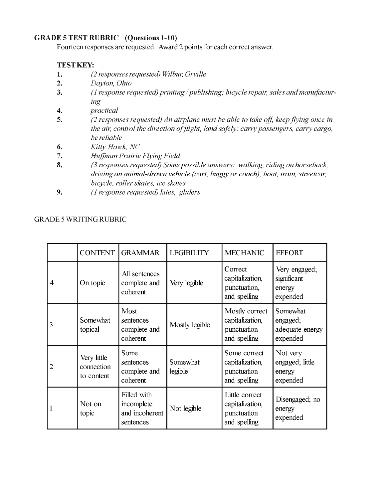## GRADE 5 TEST RUBRIC (Questions 1-10)

Fourteen responses are requested. Award 2 points for each correct answer.

## TEST KEY:

- 1. (2 *re.sponses requested) Wilbut; Orville*
- *2. Dayton, Ohio*
- *3. ing (J response requested) printing/publishing; bicycle repair, sales and manufactur-*
- *4. practical*
- 5. (2 *responses requested) An airplane must be able to take* ~ff, *keep flying once in the air, control the direction of flight, land safely; carry passengers, carry cargo, be reliable*
- *6. Kilty Hawk,* Ne
- *7. Huffman Prairie Flying Field*
- 8. **8.** *(3 responses requested) Some possible answers: walking, riding on horseback, driving an animal-drawn vehicle (cart, buggy or coach), boat, train, streetcar, bicycle, roller skates, ice skates*
- 9. (1 *re.sponse requested) kites, gliders*

## GRADE 5 WRITING RUBRIC

|   | <b>CONTENT</b>                          | <b>GRAMMAR</b>                                           | <b>LEGIBILITY</b>   | <b>MECHANIC</b>                                                  | <b>EFFORT</b>                                       |
|---|-----------------------------------------|----------------------------------------------------------|---------------------|------------------------------------------------------------------|-----------------------------------------------------|
| 4 | On topic                                | All sentences<br>complete and<br>coherent                | Very legible        | Correct<br>capitalization,<br>punctuation,<br>and spelling       | Very engaged;<br>significant<br>energy<br>expended  |
| 3 | Somewhat<br>topical                     | Most<br>sentences<br>complete and<br>coherent            | Mostly legible      | Mostly correct<br>capitalization,<br>punctuation<br>and spelling | Somewhat<br>engaged;<br>adequate energy<br>expended |
|   | Very little<br>connection<br>to content | Some<br>sentences<br>complete and<br>coherent            | Somewhat<br>legible | Some correct<br>capitalization,<br>punctuation<br>and spelling   | Not very<br>engaged; little<br>energy<br>expended   |
|   | Not on<br>topic                         | Filled with<br>incomplete<br>and incoherent<br>sentences | Not legible         | Little correct<br>capitalization,<br>punctuation<br>and spelling | Disengaged; no<br>energy<br>expended                |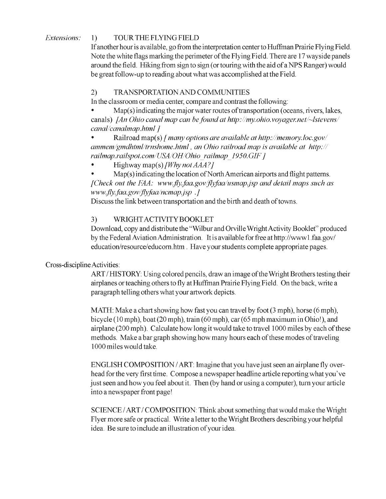## *Extensions:* 1) TOUR THE FLYING FIELD

Ifanother hour is available, go from the interpretation center to Huffman Prairie Flying Field. Note the white flags marking the perimeter of the Flying Field. There are 17 wayside panels around the field. Hiking from sign to sign (or touring with the aid of a NPS Ranger) would be great follow-up to reading about what was accomplished at the Field.

## 2) TRANSPORTATION AND COMMUNITIES

In the classroom or media center, compare and contrast the following:

 $Map(s)$  indicating the major water routes of transportation (oceans, rivers, lakes, canals) *[An Ohio canal map can befound at* http://my.ohio.voyager.net/~lstevens/ *canal/canalmap.html* ]

• Railroad map(s) *[many options are available at http://memory.loc.govl ammem/gmdhtml/trnshome.html, an Ohio railroad map is available at http:// railmap.railspot.comIU5'A/OHIOhio railmap 1950.GIFJ* 

- Highway map(s) *[Why not MA?*J
- Map(s) indicating the location of North American airports and flight patterns. *[Check out the FAA: www.fly.faa.gov/flyfaa/usmap.jsp and detail maps such as www.fly.faa.gov/flyfaa/ncmap.jsp.]*

Discuss the link between transportation and the birth and death of towns.

## 3) WRIGHT ACTIVITY BOOKLET

Download, copy and distribute the "Wilbur and Orville Wright Activity Booklet" produced by the Federal Aviation Administration. It is available for free at http://www1.faa.gov/ education/resource/educorn.htm . Have your students complete appropriate pages.

Cross-discipline Activities:

ART/HISTORY: Using colored pencils, draw an image of the Wright Brothers testing their airplanes orteaching others to fly at Huffman Prairie Flying Field. On the back, write a paragraph telling others what your artwork depicts.

MATH: Make a chart showing how fast you can travel by foot (3 mph), horse (6 mph), bicycle (10 mph), boat (20 mph), train (60 mph), car (65 mph maximum in Ohio!), and airplane (200 mph). Calculate how long it would take to travel 1000 miles by each of these methods. Make a bar graph showing how many hours each of these modes of traveling 1000 miles would take.

ENGLISH COMPOSITION / ART: Imagine that you have just seen an airplane fly overhead for the very first time. Compose a newspaper headline article reporting what you've just seen and how you feel about it. Then (by hand or using a computer), turn your article into a newspaper front page!

SCIENCE/ART/COMPOSITION: Think about something that would make the Wright Flyer more safe or practical. Write a letter to the Wright Brothers describing your helpful idea. Be sure to include an illustration of your idea.